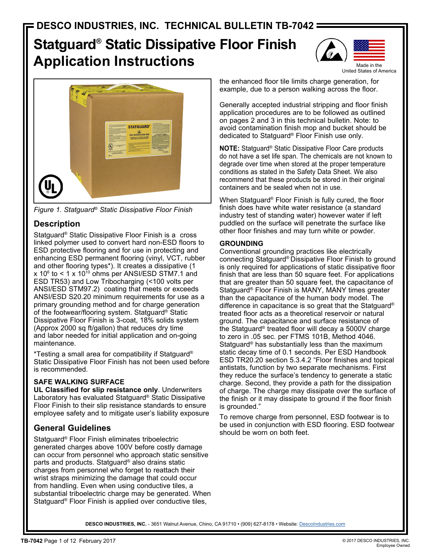# **Statguard® Static Dissipative Floor Finish Application Instructions**





*Figure 1. Statguard® Static Dissipative Floor Finish*

# **Description**

Statguard® Static Dissipative Floor Finish is a cross linked polymer used to convert hard non-ESD floors to ESD protective flooring and for use in protecting and enhancing ESD permanent flooring (vinyl, VCT, rubber and other flooring types\*). It creates a dissipative (1 x 10 $^{\circ}$  to < 1 x 10 $^{\circ}$  ohms per ANSI/ESD STM7.1 and ESD TR53) and Low Tribocharging (<100 volts per ANSI/ESD STM97.2) coating that meets or exceeds ANSI/ESD S20.20 minimum requirements for use as a primary grounding method and for charge generation of the footwear/flooring system. Statguard® Static Dissipative Floor Finish is 3-coat, 18% solids system (Approx 2000 sq ft/gallon) that reduces dry time and labor needed for initial application and on-going maintenance.

\*Testing a small area for compatibility if Statguard® Static Dissipative Floor Finish has not been used before is recommended.

# **SAFE WALKING SURFACE**

**UL Classified for slip resistance only**. Underwriters Laboratory has evaluated Statguard® Static Dissipative Floor Finish to their slip resistance standards to ensure employee safety and to mitigate user's liability exposure

# **General Guidelines**

Statguard<sup>®</sup> Floor Finish eliminates triboelectric generated charges above 100V before costly damage can occur from personnel who approach static sensitive parts and products. Statguard® also drains static charges from personnel who forget to reattach their wrist straps minimizing the damage that could occur from handling. Even when using conductive tiles, a substantial triboelectric charge may be generated. When Statguard® Floor Finish is applied over conductive tiles,

the enhanced floor tile limits charge generation, for example, due to a person walking across the floor.

Generally accepted industrial stripping and floor finish application procedures are to be followed as outlined on pages 2 and 3 in this technical bulletin. Note: to avoid contamination finish mop and bucket should be dedicated to Statguard® Floor Finish use only.

**NOTE:** Statguard® Static Dissipative Floor Care products do not have a set life span. The chemicals are not known to degrade over time when stored at the proper temperature conditions as stated in the Safety Data Sheet. We also recommend that these products be stored in their original containers and be sealed when not in use.

When Statguard® Floor Finish is fully cured, the floor finish does have white water resistance (a standard industry test of standing water) however water if left puddled on the surface will penetrate the surface like other floor finishes and may turn white or powder.

# **GROUNDING**

Conventional grounding practices like electrically connecting Statguard® Dissipative Floor Finish to ground is only required for applications of static dissipative floor finish that are less than 50 square feet. For applications that are greater than 50 square feet, the capacitance of Statguard® Floor Finish is MANY, MANY times greater than the capacitance of the human body model. The difference in capacitance is so great that the Statguard® treated floor acts as a theoretical reservoir or natural ground. The capacitance and surface resistance of the Statguard® treated floor will decay a 5000V charge to zero in .05 sec. per FTMS 101B, Method 4046. Statguard® has substantially less than the maximum static decay time of 0.1 seconds. Per ESD Handbook ESD TR20.20 section 5.3.4.2 "Floor finishes and topical antistats, function by two separate mechanisms. First they reduce the surface's tendency to generate a static charge. Second, they provide a path for the dissipation of charge. The charge may dissipate over the surface of the finish or it may dissipate to ground if the floor finish is grounded."

To remove charge from personnel, ESD footwear is to be used in conjunction with ESD flooring. ESD footwear should be worn on both feet.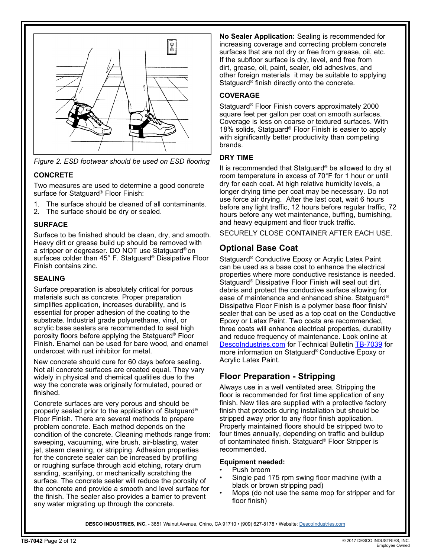

*Figure 2. ESD footwear should be used on ESD flooring*

## **CONCRETE**

Two measures are used to determine a good concrete surface for Statguard® Floor Finish:

- 1. The surface should be cleaned of all contaminants.
- 2. The surface should be dry or sealed.

## **SURFACE**

Surface to be finished should be clean, dry, and smooth. Heavy dirt or grease build up should be removed with a stripper or degreaser. DO NOT use Statguard® on surfaces colder than 45° F. Statguard® Dissipative Floor Finish contains zinc.

### **SEALING**

Surface preparation is absolutely critical for porous materials such as concrete. Proper preparation simplifies application, increases durability, and is essential for proper adhesion of the coating to the substrate. Industrial grade polyurethane, vinyl, or acrylic base sealers are recommended to seal high porosity floors before applying the Statguard® Floor Finish. Enamel can be used for bare wood, and enamel undercoat with rust inhibitor for metal.

New concrete should cure for 60 days before sealing. Not all concrete surfaces are created equal. They vary widely in physical and chemical qualities due to the way the concrete was originally formulated, poured or finished.

Concrete surfaces are very porous and should be properly sealed prior to the application of Statguard® Floor Finish. There are several methods to prepare problem concrete. Each method depends on the condition of the concrete. Cleaning methods range from: sweeping, vacuuming, wire brush, air-blasting, water jet, steam cleaning, or stripping. Adhesion properties for the concrete sealer can be increased by profiling or roughing surface through acid etching, rotary drum sanding, scarifying, or mechanically scratching the surface. The concrete sealer will reduce the porosity of the concrete and provide a smooth and level surface for the finish. The sealer also provides a barrier to prevent any water migrating up through the concrete.

**No Sealer Application:** Sealing is recommended for increasing coverage and correcting problem concrete surfaces that are not dry or free from grease, oil, etc. If the subfloor surface is dry, level, and free from dirt, grease, oil, paint, sealer, old adhesives, and other foreign materials it may be suitable to applying Statguard® finish directly onto the concrete.

# **COVERAGE**

Statguard® Floor Finish covers approximately 2000 square feet per gallon per coat on smooth surfaces. Coverage is less on coarse or textured surfaces. With 18% solids, Statguard® Floor Finish is easier to apply with significantly better productivity than competing brands.

# **DRY TIME**

It is recommended that Statguard® be allowed to dry at room temperature in excess of 70°F for 1 hour or until dry for each coat. At high relative humidity levels, a longer drying time per coat may be necessary. Do not use force air drying. After the last coat, wait 6 hours before any light traffic, 12 hours before regular traffic, 72 hours before any wet maintenance, buffing, burnishing, and heavy equipment and floor truck traffic.

SECURELY CLOSE CONTAINER AFTER EACH USE.

# **Optional Base Coat**

Statguard® Conductive Epoxy or Acrylic Latex Paint can be used as a base coat to enhance the electrical properties where more conductive resistance is needed. Statguard® Dissipative Floor Finish will seal out dirt, debris and protect the conductive surface allowing for ease of maintenance and enhanced shine. Statguard® Dissipative Floor Finish is a polymer base floor finish/ sealer that can be used as a top coat on the Conductive Epoxy or Latex Paint. Two coats are recommended, three coats will enhance electrical properties, durability and reduce frequency of maintenance. Look online at DescoIndustries.com for Technical Bulletin TB-7039 for more information on Statguard® Conductive Epoxy or Acrylic Latex Paint.

# **Floor Preparation - Stripping**

Always use in a well ventilated area. Stripping the floor is recommended for first time application of any finish. New tiles are supplied with a protective factory finish that protects during installation but should be stripped away prior to any floor finish application. Properly maintained floors should be stripped two to four times annually, depending on traffic and buildup of contaminated finish. Statguard® Floor Stripper is recommended.

### **Equipment needed:**

- Push broom
- Single pad 175 rpm swing floor machine (with a black or brown stripping pad)
- Mops (do not use the same mop for stripper and for floor finish)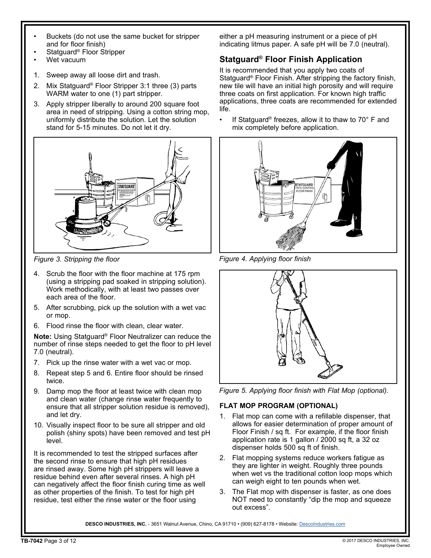- Buckets (do not use the same bucket for stripper and for floor finish)
- Statguard<sup>®</sup> Floor Stripper
- Wet vacuum
- 1. Sweep away all loose dirt and trash.
- 2. Mix Statguard® Floor Stripper 3:1 three (3) parts WARM water to one (1) part stripper.
- 3. Apply stripper liberally to around 200 square foot area in need of stripping. Using a cotton string mop, uniformly distribute the solution. Let the solution stand for 5-15 minutes. Do not let it dry.



*Figure 3. Stripping the floor*

- 4. Scrub the floor with the floor machine at 175 rpm (using a stripping pad soaked in stripping solution). Work methodically, with at least two passes over each area of the floor.
- 5. After scrubbing, pick up the solution with a wet vac or mop.
- 6. Flood rinse the floor with clean, clear water.

**Note:** Using Statguard® Floor Neutralizer can reduce the number of rinse steps needed to get the floor to pH level 7.0 (neutral).

- 7. Pick up the rinse water with a wet vac or mop.
- 8. Repeat step 5 and 6. Entire floor should be rinsed twice.
- 9. Damp mop the floor at least twice with clean mop and clean water (change rinse water frequently to ensure that all stripper solution residue is removed), and let dry.
- 10. Visually inspect floor to be sure all stripper and old polish (shiny spots) have been removed and test pH level.

It is recommended to test the stripped surfaces after the second rinse to ensure that high pH residues are rinsed away. Some high pH strippers will leave a residue behind even after several rinses. A high pH can negatively affect the floor finish curing time as well as other properties of the finish. To test for high pH residue, test either the rinse water or the floor using

either a pH measuring instrument or a piece of pH indicating litmus paper. A safe pH will be 7.0 (neutral).

# **Statguard® Floor Finish Application**

It is recommended that you apply two coats of Statguard® Floor Finish. After stripping the factory finish, new tile will have an initial high porosity and will require three coats on first application. For known high traffic applications, three coats are recommended for extended life.

• If Statguard<sup>®</sup> freezes, allow it to thaw to 70° F and mix completely before application.



*Figure 4. Applying floor finish*



*Figure 5. Applying floor finish with Flat Mop (optional).*

# **FLAT MOP PROGRAM (OPTIONAL)**

- 1. Flat mop can come with a refillable dispenser, that allows for easier determination of proper amount of Floor Finish / sq ft. For example, if the floor finish application rate is 1 gallon / 2000 sq ft, a 32 oz dispenser holds 500 sq ft of finish.
- 2. Flat mopping systems reduce workers fatigue as they are lighter in weight. Roughly three pounds when wet vs the traditional cotton loop mops which can weigh eight to ten pounds when wet.
- 3. The Flat mop with dispenser is faster, as one does NOT need to constantly "dip the mop and squeeze out excess".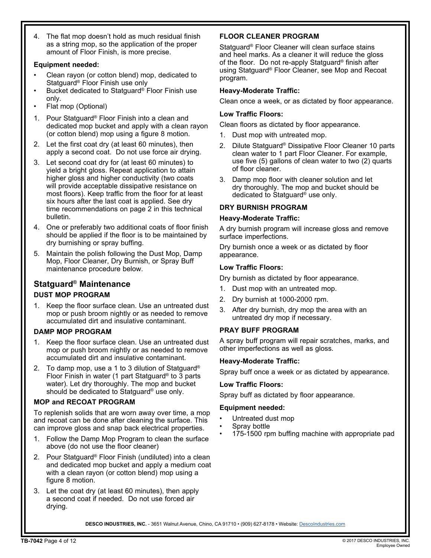4. The flat mop doesn't hold as much residual finish as a string mop, so the application of the proper amount of Floor Finish, is more precise.

### **Equipment needed:**

- Clean rayon (or cotton blend) mop, dedicated to Statguard® Floor Finish use only
- Bucket dedicated to Statguard® Floor Finish use only.
- Flat mop (Optional)
- 1. Pour Statguard® Floor Finish into a clean and dedicated mop bucket and apply with a clean rayon (or cotton blend) mop using a figure 8 motion.
- 2. Let the first coat dry (at least 60 minutes), then apply a second coat. Do not use force air drying.
- 3. Let second coat dry for (at least 60 minutes) to yield a bright gloss. Repeat application to attain higher gloss and higher conductivity (two coats will provide acceptable dissipative resistance on most floors). Keep traffic from the floor for at least six hours after the last coat is applied. See dry time recommendations on page 2 in this technical bulletin.
- 4. One or preferably two additional coats of floor finish should be applied if the floor is to be maintained by dry burnishing or spray buffing.
- 5. Maintain the polish following the Dust Mop, Damp Mop, Floor Cleaner, Dry Burnish, or Spray Buff maintenance procedure below.

# **Statguard® Maintenance**

### **DUST MOP PROGRAM**

1. Keep the floor surface clean. Use an untreated dust mop or push broom nightly or as needed to remove accumulated dirt and insulative contaminant.

### **DAMP MOP PROGRAM**

- 1. Keep the floor surface clean. Use an untreated dust mop or push broom nightly or as needed to remove accumulated dirt and insulative contaminant.
- 2. To damp mop, use a 1 to 3 dilution of Statguard® Floor Finish in water (1 part Statguard® to 3 parts water). Let dry thoroughly. The mop and bucket should be dedicated to Statguard® use only.

### **MOP and RECOAT PROGRAM**

To replenish solids that are worn away over time, a mop and recoat can be done after cleaning the surface. This can improve gloss and snap back electrical properties.

- 1. Follow the Damp Mop Program to clean the surface above (do not use the floor cleaner)
- 2. Pour Statguard® Floor Finish (undiluted) into a clean and dedicated mop bucket and apply a medium coat with a clean rayon (or cotton blend) mop using a figure 8 motion.
- 3. Let the coat dry (at least 60 minutes), then apply a second coat if needed. Do not use forced air drying.

# **FLOOR CLEANER PROGRAM**

Statguard® Floor Cleaner will clean surface stains and heel marks. As a cleaner it will reduce the gloss of the floor. Do not re-apply Statguard® finish after using Statguard® Floor Cleaner, see Mop and Recoat program.

### **Heavy-Moderate Traffic:**

Clean once a week, or as dictated by floor appearance.

### **Low Traffic Floors:**

Clean floors as dictated by floor appearance.

- 1. Dust mop with untreated mop.
- 2. Dilute Statguard® Dissipative Floor Cleaner 10 parts clean water to 1 part Floor Cleaner. For example, use five (5) gallons of clean water to two (2) quarts of floor cleaner.
- 3. Damp mop floor with cleaner solution and let dry thoroughly. The mop and bucket should be dedicated to Statguard® use only.

### **DRY BURNISH PROGRAM**

### **Heavy-Moderate Traffic:**

A dry burnish program will increase gloss and remove surface imperfections.

Dry burnish once a week or as dictated by floor appearance.

### **Low Traffic Floors:**

Dry burnish as dictated by floor appearance.

- 1. Dust mop with an untreated mop.
- 2. Dry burnish at 1000-2000 rpm.
- 3. After dry burnish, dry mop the area with an untreated dry mop if necessary.

### **PRAY BUFF PROGRAM**

A spray buff program will repair scratches, marks, and other imperfections as well as gloss.

#### **Heavy-Moderate Traffic:**

Spray buff once a week or as dictated by appearance.

#### **Low Traffic Floors:**

Spray buff as dictated by floor appearance.

#### **Equipment needed:**

- Untreated dust mop
- Spray bottle
- 175-1500 rpm buffing machine with appropriate pad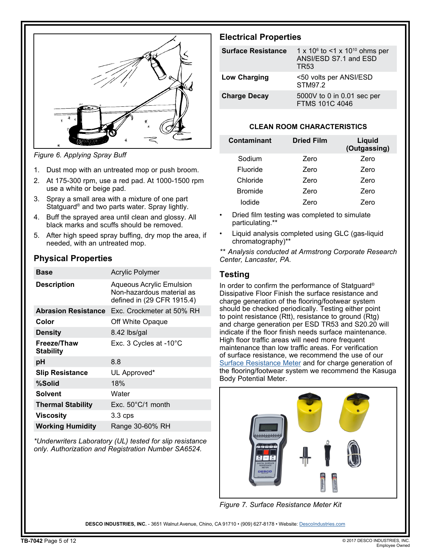

*Figure 6. Applying Spray Buff*

- 1. Dust mop with an untreated mop or push broom.
- 2. At 175-300 rpm, use a red pad. At 1000-1500 rpm use a white or beige pad.
- 3. Spray a small area with a mixture of one part Statguard® and two parts water. Spray lightly.
- 4. Buff the sprayed area until clean and glossy. All black marks and scuffs should be removed.
- 5. After high speed spray buffing, dry mop the area, if needed, with an untreated mop.

# **Physical Properties**

| <b>Base</b>                     | <b>Acrylic Polymer</b>                                                                     |
|---------------------------------|--------------------------------------------------------------------------------------------|
| <b>Description</b>              | <b>Aqueous Acrylic Emulsion</b><br>Non-hazardous material as<br>defined in (29 CFR 1915.4) |
| <b>Abrasion Resistance</b>      | Exc. Crockmeter at 50% RH                                                                  |
| Color                           | Off White Opaque                                                                           |
| <b>Density</b>                  | 8.42 lbs/gal                                                                               |
| Freeze/Thaw<br><b>Stability</b> | Exc. 3 Cycles at -10°C                                                                     |
| рH                              | 8.8                                                                                        |
| <b>Slip Resistance</b>          | UL Approved*                                                                               |
| %Solid                          | 18%                                                                                        |
| Solvent                         | Water                                                                                      |
| <b>Thermal Stability</b>        | Exc. 50°C/1 month                                                                          |
| Viscosity                       | $3.3$ cps                                                                                  |
| <b>Working Humidity</b>         | Range 30-60% RH                                                                            |

*\*Underwriters Laboratory (UL) tested for slip resistance only. Authorization and Registration Number SA6524.*

# **Electrical Properties**

| <b>Surface Resistance</b> | 1 x 10 $\degree$ to <1 x 10 $\degree$ ohms per<br>ANSI/ESD S7.1 and ESD<br>TR53 |
|---------------------------|---------------------------------------------------------------------------------|
| <b>Low Charging</b>       | <50 volts per ANSI/ESD<br>STM97.2                                               |
| <b>Charge Decay</b>       | 5000V to 0 in 0.01 sec per<br><b>FTMS 101C 4046</b>                             |

## **CLEAN ROOM CHARACTERISTICS**

| Contaminant    | <b>Dried Film</b> | Liquid<br>(Outgassing) |
|----------------|-------------------|------------------------|
| Sodium         | Zero              | Zero                   |
| Fluoride       | Zero              | Zero                   |
| Chloride       | Zero              | Zero                   |
| <b>Bromide</b> | Zero              | Zero                   |
| Iodide         | Zero              | Zero                   |

- Dried film testing was completed to simulate particulating.\*\*
- Liquid analysis completed using GLC (gas-liquid chromatography)\*\*

*\*\* Analysis conducted at Armstrong Corporate Research Center, Lancaster, PA.*

# **Testing**

In order to confirm the performance of Statguard® Dissipative Floor Finish the surface resistance and charge generation of the flooring/footwear system should be checked periodically. Testing either point to point resistance (Rtt), resistance to ground (Rtg) and charge generation per ESD TR53 and S20.20 will indicate if the floor finish needs surface maintenance. High floor traffic areas will need more frequent maintenance than low traffic areas. For verification of surface resistance, we recommend the use of our Surface Resistance Meter and for charge generation of the flooring/footwear system we recommend the Kasuga Body Potential Meter.

![](_page_4_Picture_19.jpeg)

*Figure 7. Surface Resistance Meter Kit*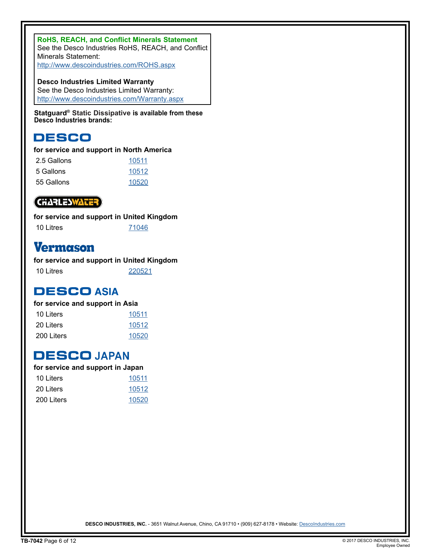**RoHS, REACH, and Conflict Minerals Statement** See the Desco Industries RoHS, REACH, and Conflict Minerals Statement: http://www.descoindustries.com/ROHS.aspx

**Desco Industries Limited Warranty** See the Desco Industries Limited Warranty: http://www.descoindustries.com/Warranty.aspx

**Statguard® Static Dissipative is available from these Desco Industries brands:**

# **DESCO**

# **for service and support in North America**

| 2.5 Gallons | 10511 |
|-------------|-------|
| 5 Gallons   | 10512 |
| 55 Gallons  | 10520 |

# **CHARLESWATER**

**for service and support in United Kingdom** 10 Litres 71046

# **Vermason**

**for service and support in United Kingdom** 10 Litres 220521

**DESCO ASIA** 

# **for service and support in Asia**

| 10 Liters  | 10511 |
|------------|-------|
| 20 Liters  | 10512 |
| 200 Liters | 10520 |

# **DESCO JAPAN**

| for service and support in Japan |       |
|----------------------------------|-------|
| 10 Liters                        | 10511 |
| 20 Liters                        | 10512 |
| 200 Liters                       | 10520 |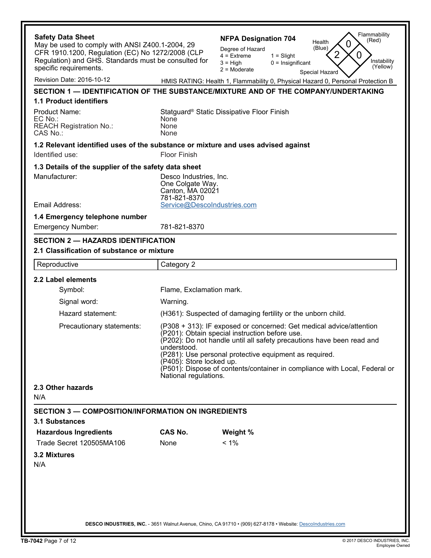| <b>Safety Data Sheet</b><br>May be used to comply with ANSI Z400.1-2004, 29<br>CFR 1910.1200, Regulation (EC) No 1272/2008 (CLP |                                                                                                                                                                                                                                                                                                                                                                                                            | Flammability<br><b>NFPA Designation 704</b><br>(Red)<br>Health<br>0<br>(Blue)<br>Degree of Hazard<br>2<br>0<br>$4 =$ Extreme<br>$1 =$ Slight |  |
|---------------------------------------------------------------------------------------------------------------------------------|------------------------------------------------------------------------------------------------------------------------------------------------------------------------------------------------------------------------------------------------------------------------------------------------------------------------------------------------------------------------------------------------------------|----------------------------------------------------------------------------------------------------------------------------------------------|--|
| Regulation) and GHS. Standards must be consulted for<br>specific requirements.                                                  |                                                                                                                                                                                                                                                                                                                                                                                                            | Instability<br>$3 = High$<br>$0 =$ Insignificant<br>(Yellow)<br>$2 =$ Moderate<br>Special Hazard                                             |  |
| Revision Date: 2016-10-12                                                                                                       |                                                                                                                                                                                                                                                                                                                                                                                                            | HMIS RATING: Health 1, Flammability 0, Physical Hazard 0, Personal Protection B                                                              |  |
|                                                                                                                                 |                                                                                                                                                                                                                                                                                                                                                                                                            | SECTION 1 — IDENTIFICATION OF THE SUBSTANCE/MIXTURE AND OF THE COMPANY/UNDERTAKING                                                           |  |
| 1.1 Product identifiers                                                                                                         |                                                                                                                                                                                                                                                                                                                                                                                                            |                                                                                                                                              |  |
| <b>Product Name:</b><br>EC No.:<br><b>REACH Registration No.:</b><br>CAS No.:                                                   | None<br>None<br>None                                                                                                                                                                                                                                                                                                                                                                                       | Statguard <sup>®</sup> Static Dissipative Floor Finish                                                                                       |  |
| 1.2 Relevant identified uses of the substance or mixture and uses advised against                                               |                                                                                                                                                                                                                                                                                                                                                                                                            |                                                                                                                                              |  |
| Identified use:                                                                                                                 | Floor Finish                                                                                                                                                                                                                                                                                                                                                                                               |                                                                                                                                              |  |
| 1.3 Details of the supplier of the safety data sheet                                                                            |                                                                                                                                                                                                                                                                                                                                                                                                            |                                                                                                                                              |  |
| Manufacturer:                                                                                                                   | Desco Industries, Inc.<br>One Colgate Way.<br>Canton, MA 02021<br>781-821-8370                                                                                                                                                                                                                                                                                                                             |                                                                                                                                              |  |
| Email Address:                                                                                                                  | Service@DescoIndustries.com                                                                                                                                                                                                                                                                                                                                                                                |                                                                                                                                              |  |
| 1.4 Emergency telephone number<br><b>Emergency Number:</b>                                                                      | 781-821-8370                                                                                                                                                                                                                                                                                                                                                                                               |                                                                                                                                              |  |
| <b>SECTION 2 - HAZARDS IDENTIFICATION</b>                                                                                       |                                                                                                                                                                                                                                                                                                                                                                                                            |                                                                                                                                              |  |
| 2.1 Classification of substance or mixture                                                                                      |                                                                                                                                                                                                                                                                                                                                                                                                            |                                                                                                                                              |  |
| Reproductive                                                                                                                    | Category 2                                                                                                                                                                                                                                                                                                                                                                                                 |                                                                                                                                              |  |
| 2.2 Label elements                                                                                                              |                                                                                                                                                                                                                                                                                                                                                                                                            |                                                                                                                                              |  |
| Symbol:                                                                                                                         | Flame, Exclamation mark.                                                                                                                                                                                                                                                                                                                                                                                   |                                                                                                                                              |  |
| Signal word:                                                                                                                    | Warning.                                                                                                                                                                                                                                                                                                                                                                                                   |                                                                                                                                              |  |
| Hazard statement:                                                                                                               | (H361): Suspected of damaging fertility or the unborn child.                                                                                                                                                                                                                                                                                                                                               |                                                                                                                                              |  |
| Precautionary statements:                                                                                                       | (P308 + 313): IF exposed or concerned: Get medical advice/attention<br>(P201): Obtain special instruction before use.<br>(P202): Do not handle until all safety precautions have been read and<br>understood.<br>(P281): Use personal protective equipment as required.<br>(P405): Store locked up.<br>(P501): Dispose of contents/container in compliance with Local, Federal or<br>National regulations. |                                                                                                                                              |  |
| 2.3 Other hazards<br>N/A                                                                                                        |                                                                                                                                                                                                                                                                                                                                                                                                            |                                                                                                                                              |  |
| <b>SECTION 3 — COMPOSITION/INFORMATION ON INGREDIENTS</b><br><b>3.1 Substances</b>                                              |                                                                                                                                                                                                                                                                                                                                                                                                            |                                                                                                                                              |  |
| <b>Hazardous Ingredients</b>                                                                                                    | <b>CAS No.</b>                                                                                                                                                                                                                                                                                                                                                                                             | Weight %                                                                                                                                     |  |
| Trade Secret 120505MA106                                                                                                        | None                                                                                                                                                                                                                                                                                                                                                                                                       | $< 1\%$                                                                                                                                      |  |
| 3.2 Mixtures                                                                                                                    |                                                                                                                                                                                                                                                                                                                                                                                                            |                                                                                                                                              |  |
| N/A                                                                                                                             |                                                                                                                                                                                                                                                                                                                                                                                                            |                                                                                                                                              |  |
|                                                                                                                                 |                                                                                                                                                                                                                                                                                                                                                                                                            |                                                                                                                                              |  |
|                                                                                                                                 |                                                                                                                                                                                                                                                                                                                                                                                                            | DESCO INDUSTRIES, INC. - 3651 Walnut Avenue, Chino, CA 91710 · (909) 627-8178 · Website: Descolndustries.com                                 |  |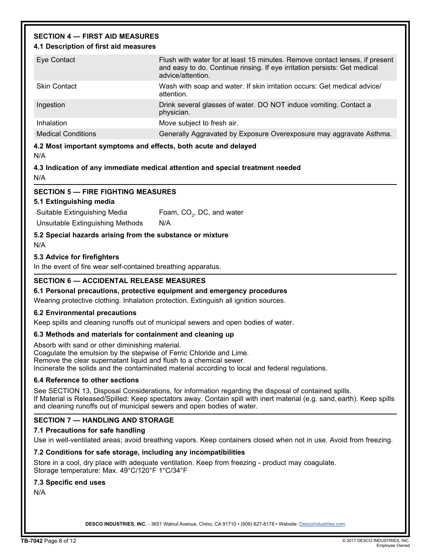# **SECTION 4 — FIRST AID MEASURES**

### **4.1 Description of first aid measures**

| Eye Contact               | Flush with water for at least 15 minutes. Remove contact lenses, if present<br>and easy to do. Continue rinsing. If eye irritation persists: Get medical<br>advice/attention. |
|---------------------------|-------------------------------------------------------------------------------------------------------------------------------------------------------------------------------|
| <b>Skin Contact</b>       | Wash with soap and water. If skin irritation occurs: Get medical advice/<br>attention.                                                                                        |
| Ingestion                 | Drink several glasses of water. DO NOT induce vomiting. Contact a<br>physician.                                                                                               |
| Inhalation                | Move subject to fresh air.                                                                                                                                                    |
| <b>Medical Conditions</b> | Generally Aggravated by Exposure Overexposure may aggravate Asthma.                                                                                                           |

### **4.2 Most important symptoms and effects, both acute and delayed**

N/A

### **4.3 Indication of any immediate medical attention and special treatment needed** N/A

## **SECTION 5 — FIRE FIGHTING MEASURES**

### **5.1 Extinguishing media**

Suitable Extinguishing Media Foam,  $CO<sub>2</sub>$ , DC, and water

Unsuitable Extinguishing Methods N/A

**5.2 Special hazards arising from the substance or mixture**

N/A

# **5.3 Advice for firefighters**

In the event of fire wear self-contained breathing apparatus.

# **SECTION 6 — ACCIDENTAL RELEASE MEASURES**

### **6.1 Personal precautions, protective equipment and emergency procedures**

Wearing protective clothing. Inhalation protection. Extinguish all ignition sources.

### **6.2 Environmental precautions**

Keep spills and cleaning runoffs out of municipal sewers and open bodies of water.

# **6.3 Methods and materials for containment and cleaning up**

Absorb with sand or other diminishing material. Coagulate the emulsion by the stepwise of Ferric Chloride and Lime. Remove the clear supernatant liquid and flush to a chemical sewer. Incinerate the solids and the contaminated material according to local and federal regulations.

# **6.4 Reference to other sections**

See SECTION 13, Disposal Considerations, for information regarding the disposal of contained spills. If Material is Released/Spilled: Keep spectators away. Contain spill with inert material (e.g. sand, earth). Keep spills and cleaning runoffs out of municipal sewers and open bodies of water.

# **SECTION 7 — HANDLING AND STORAGE**

# **7.1 Precautions for safe handling**

Use in well-ventilated areas; avoid breathing vapors. Keep containers closed when not in use. Avoid from freezing.

# **7.2 Conditions for safe storage, including any incompatibilities**

Store in a cool, dry place with adequate ventilation. Keep from freezing - product may coagulate. Storage temperature: Max. 49°C/120°F 1°C/34°F

# **7.3 Specific end uses**

N/A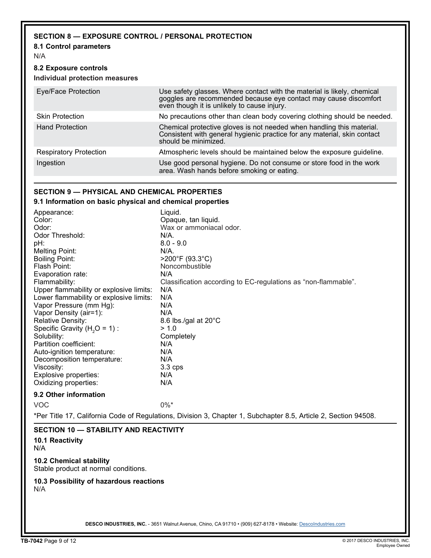# **SECTION 8 — EXPOSURE CONTROL / PERSONAL PROTECTION**

### **8.1 Control parameters**

N/A

### **8.2 Exposure controls Individual protection measures**

| Eye/Face Protection           | Use safety glasses. Where contact with the material is likely, chemical<br>goggles are recommended because eye contact may cause discomfort even though it is unlikely to cause injury. |
|-------------------------------|-----------------------------------------------------------------------------------------------------------------------------------------------------------------------------------------|
| <b>Skin Protection</b>        | No precautions other than clean body covering clothing should be needed.                                                                                                                |
| <b>Hand Protection</b>        | Chemical protective gloves is not needed when handling this material.<br>Consistent with general hygienic practice for any material, skin contact<br>should be minimized.               |
| <b>Respiratory Protection</b> | Atmospheric levels should be maintained below the exposure guideline.                                                                                                                   |
| Ingestion                     | Use good personal hygiene. Do not consume or store food in the work<br>area. Wash hands before smoking or eating.                                                                       |

## **SECTION 9 — PHYSICAL AND CHEMICAL PROPERTIES**

### **9.1 Information on basic physical and chemical properties**

| Appearance:                                | Liquid.                                                                                                         |  |  |
|--------------------------------------------|-----------------------------------------------------------------------------------------------------------------|--|--|
| Color:                                     | Opaque, tan liquid.                                                                                             |  |  |
| Odor:                                      | Wax or ammoniacal odor.                                                                                         |  |  |
| Odor Threshold:                            | $N/A$ .                                                                                                         |  |  |
| pH:                                        | $8.0 - 9.0$                                                                                                     |  |  |
| <b>Melting Point:</b>                      | $N/A$ .                                                                                                         |  |  |
| <b>Boiling Point:</b>                      | >200°F (93.3°C)                                                                                                 |  |  |
| Flash Point:                               | Noncombustible                                                                                                  |  |  |
| Evaporation rate:                          | N/A                                                                                                             |  |  |
| Flammability:                              | Classification according to EC-regulations as "non-flammable".                                                  |  |  |
| Upper flammability or explosive limits:    | N/A                                                                                                             |  |  |
| Lower flammability or explosive limits:    | N/A                                                                                                             |  |  |
| Vapor Pressure (mm Hg):                    | N/A                                                                                                             |  |  |
| Vapor Density (air=1):                     | N/A                                                                                                             |  |  |
| <b>Relative Density:</b>                   | 8.6 lbs./gal at 20°C                                                                                            |  |  |
| Specific Gravity $(H2O = 1)$ :             | > 1.0                                                                                                           |  |  |
| Solubility:                                | Completely                                                                                                      |  |  |
| Partition coefficient:                     | N/A                                                                                                             |  |  |
| Auto-ignition temperature:                 | N/A                                                                                                             |  |  |
| Decomposition temperature:                 | N/A                                                                                                             |  |  |
| Viscosity:                                 | 3.3 cps                                                                                                         |  |  |
| Explosive properties:                      | N/A                                                                                                             |  |  |
| Oxidizing properties:                      | N/A                                                                                                             |  |  |
| 9.2 Other information                      |                                                                                                                 |  |  |
| <b>VOC</b>                                 | $0\%$ *                                                                                                         |  |  |
|                                            | *Per Title 17, California Code of Regulations, Division 3, Chapter 1, Subchapter 8.5, Article 2, Section 94508. |  |  |
| <b>CECTION 40 CTADILITY AND DEACTIVITY</b> |                                                                                                                 |  |  |

### **SECTION 10 — STABILITY AND REACTIVITY**

**10.1 Reactivity** N/A

**10.2 Chemical stability** Stable product at normal conditions.

### **10.3 Possibility of hazardous reactions** N/A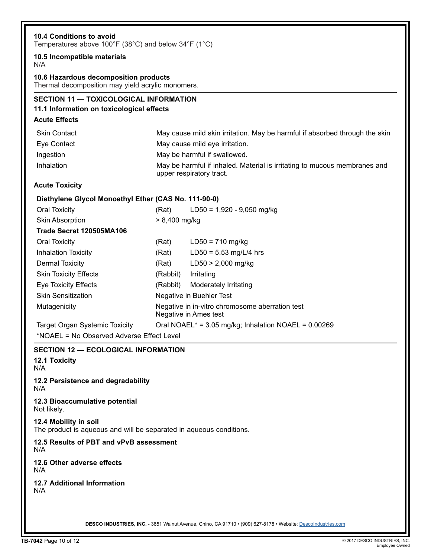| 10.5 Incompatible materials                                                                   |                                                                          |                                                                                                       |
|-----------------------------------------------------------------------------------------------|--------------------------------------------------------------------------|-------------------------------------------------------------------------------------------------------|
| N/A                                                                                           |                                                                          |                                                                                                       |
| 10.6 Hazardous decomposition products<br>Thermal decomposition may yield acrylic monomers.    |                                                                          |                                                                                                       |
| <b>SECTION 11 - TOXICOLOGICAL INFORMATION</b>                                                 |                                                                          |                                                                                                       |
| 11.1 Information on toxicological effects                                                     |                                                                          |                                                                                                       |
| <b>Acute Effects</b>                                                                          |                                                                          |                                                                                                       |
| <b>Skin Contact</b>                                                                           |                                                                          | May cause mild skin irritation. May be harmful if absorbed through the skin                           |
| Eye Contact                                                                                   |                                                                          | May cause mild eye irritation.                                                                        |
| Ingestion                                                                                     |                                                                          | May be harmful if swallowed.                                                                          |
| Inhalation                                                                                    |                                                                          | May be harmful if inhaled. Material is irritating to mucous membranes and<br>upper respiratory tract. |
| <b>Acute Toxicity</b>                                                                         |                                                                          |                                                                                                       |
| Diethylene Glycol Monoethyl Ether (CAS No. 111-90-0)                                          |                                                                          |                                                                                                       |
| <b>Oral Toxicity</b>                                                                          | (Rat)                                                                    | $LD50 = 1,920 - 9,050$ mg/kg                                                                          |
| <b>Skin Absorption</b>                                                                        | $> 8,400$ mg/kg                                                          |                                                                                                       |
| Trade Secret 120505MA106                                                                      |                                                                          |                                                                                                       |
| <b>Oral Toxicity</b>                                                                          | (Rat)                                                                    | $LD50 = 710$ mg/kg                                                                                    |
| <b>Inhalation Toxicity</b>                                                                    | (Rat)                                                                    | $LD50 = 5.53$ mg/L/4 hrs                                                                              |
| <b>Dermal Toxicity</b>                                                                        | (Rat)                                                                    | $LD50 > 2,000$ mg/kg                                                                                  |
| <b>Skin Toxicity Effects</b>                                                                  | (Rabbit)                                                                 | Irritating                                                                                            |
| <b>Eye Toxicity Effects</b>                                                                   | (Rabbit)                                                                 | Moderately Irritating                                                                                 |
| <b>Skin Sensitization</b>                                                                     | Negative in Buehler Test                                                 |                                                                                                       |
| Mutagenicity                                                                                  | Negative in in-vitro chromosome aberration test<br>Negative in Ames test |                                                                                                       |
| Oral NOAEL* = 3.05 mg/kg; Inhalation NOAEL = 0.00269<br><b>Target Organ Systemic Toxicity</b> |                                                                          |                                                                                                       |
| *NOAEL = No Observed Adverse Effect Level                                                     |                                                                          |                                                                                                       |
| <b>SECTION 12 - ECOLOGICAL INFORMATION</b><br><b>12.1 Toxicity</b><br>N/A                     |                                                                          |                                                                                                       |
| 12.2 Persistence and degradability<br>N/A                                                     |                                                                          |                                                                                                       |
| 12.3 Bioaccumulative potential<br>Not likely.                                                 |                                                                          |                                                                                                       |
| 12.4 Mobility in soil<br>The product is aqueous and will be separated in aqueous conditions.  |                                                                          |                                                                                                       |
| 12.5 Results of PBT and vPvB assessment<br>N/A                                                |                                                                          |                                                                                                       |
| 12.6 Other adverse effects<br>N/A                                                             |                                                                          |                                                                                                       |
| <b>12.7 Additional Information</b><br>N/A                                                     |                                                                          |                                                                                                       |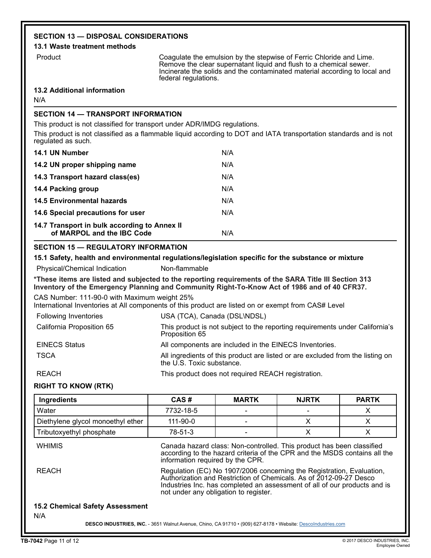# **SECTION 13 — DISPOSAL CONSIDERATIONS**

### **13.1 Waste treatment methods**

Product **Coagulate the emulsion by the stepwise of Ferric Chloride and Lime.** Remove the clear supernatant liquid and flush to a chemical sewer. Incinerate the solids and the contaminated material according to local and federal regulations.

### **13.2 Additional information**

N/A

# **SECTION 14 — TRANSPORT INFORMATION**

This product is not classified for transport under ADR/IMDG regulations.

This product is not classified as a flammable liquid according to DOT and IATA transportation standards and is not regulated as such.

| 14.1 UN Number                                                             | N/A |
|----------------------------------------------------------------------------|-----|
| 14.2 UN proper shipping name                                               | N/A |
| 14.3 Transport hazard class(es)                                            | N/A |
| 14.4 Packing group                                                         | N/A |
| 14.5 Environmental hazards                                                 | N/A |
| 14.6 Special precautions for user                                          | N/A |
| 14.7 Transport in bulk according to Annex II<br>of MARPOL and the IBC Code | N/A |

## **SECTION 15 — REGULATORY INFORMATION**

### **15.1 Safety, health and environmental regulations/legislation specific for the substance or mixture**

Physical/Chemical Indication Non-flammable

**\*These items are listed and subjected to the reporting requirements of the SARA Title III Section 313 Inventory of the Emergency Planning and Community Right-To-Know Act of 1986 and of 40 CFR37.**

CAS Number: 111-90-0 with Maximum weight 25%

International Inventories at All components of this product are listed on or exempt from CAS# Level

| Following Inventories     | USA (TCA), Canada (DSL\NDSL)                                                                                |
|---------------------------|-------------------------------------------------------------------------------------------------------------|
| California Proposition 65 | This product is not subject to the reporting requirements under California's<br>Proposition 65              |
| <b>EINECS Status</b>      | All components are included in the EINECS Inventories.                                                      |
| <b>TSCA</b>               | All ingredients of this product are listed or are excluded from the listing on<br>the U.S. Toxic substance. |
| REACH                     | This product does not required REACH registration.                                                          |

# **RIGHT TO KNOW (RTK)**

| Ingredients                                   | CAS#                                                                                                                                                                                                                                                              | <b>MARTK</b> | <b>NJRTK</b> | <b>PARTK</b> |  |
|-----------------------------------------------|-------------------------------------------------------------------------------------------------------------------------------------------------------------------------------------------------------------------------------------------------------------------|--------------|--------------|--------------|--|
| Water                                         | 7732-18-5                                                                                                                                                                                                                                                         |              |              | X            |  |
| Diethylene glycol monoethyl ether             | $111 - 90 - 0$                                                                                                                                                                                                                                                    |              | X            | X            |  |
| Tributoxyethyl phosphate                      | 78-51-3                                                                                                                                                                                                                                                           |              | X            | X            |  |
| <b>WHIMIS</b>                                 | Canada hazard class: Non-controlled. This product has been classified<br>according to the hazard criteria of the CPR and the MSDS contains all the<br>information required by the CPR.                                                                            |              |              |              |  |
| <b>REACH</b>                                  | Regulation (EC) No 1907/2006 concerning the Registration, Evaluation,<br>Authorization and Restriction of Chemicals. As of 2012-09-27 Desco<br>Industries Inc. has completed an assessment of all of our products and is<br>not under any obligation to register. |              |              |              |  |
| <b>15.2 Chemical Safety Assessment</b><br>N/A |                                                                                                                                                                                                                                                                   |              |              |              |  |
|                                               | DESCO INDUSTRIES, INC. - 3651 Walnut Avenue, Chino, CA 91710 • (909) 627-8178 • Website: Descolndustries.com                                                                                                                                                      |              |              |              |  |